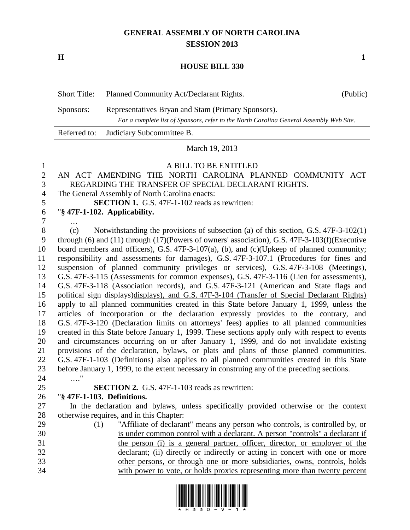# **GENERAL ASSEMBLY OF NORTH CAROLINA SESSION 2013**

**H 1**

## **HOUSE BILL 330**

| <b>Short Title:</b> | Planned Community Act/Declarant Rights.                                                 | (Public) |  |
|---------------------|-----------------------------------------------------------------------------------------|----------|--|
| Sponsors:           | Representatives Bryan and Stam (Primary Sponsors).                                      |          |  |
|                     | For a complete list of Sponsors, refer to the North Carolina General Assembly Web Site. |          |  |
|                     | Referred to: Judiciary Subcommittee B.                                                  |          |  |

March 19, 2013

## A BILL TO BE ENTITLED

#### AN ACT AMENDING THE NORTH CAROLINA PLANNED COMMUNITY ACT REGARDING THE TRANSFER OF SPECIAL DECLARANT RIGHTS.

The General Assembly of North Carolina enacts:

**SECTION 1.** G.S. 47F-1-102 reads as rewritten:

"**§ 47F-1-102. Applicability.**

…

 (c) Notwithstanding the provisions of subsection (a) of this section, G.S. 47F-3-102(1) through (6) and (11) through (17)(Powers of owners' association), G.S. 47F-3-103(f)(Executive board members and officers), G.S. 47F-3-107(a), (b), and (c)(Upkeep of planned community; responsibility and assessments for damages), G.S. 47F-3-107.1 (Procedures for fines and suspension of planned community privileges or services), G.S. 47F-3-108 (Meetings), G.S. 47F-3-115 (Assessments for common expenses), G.S. 47F-3-116 (Lien for assessments), G.S. 47F-3-118 (Association records), and G.S. 47F-3-121 (American and State flags and political sign displays)displays), and G.S. 47F-3-104 (Transfer of Special Declarant Rights) apply to all planned communities created in this State before January 1, 1999, unless the articles of incorporation or the declaration expressly provides to the contrary, and G.S. 47F-3-120 (Declaration limits on attorneys' fees) applies to all planned communities created in this State before January 1, 1999. These sections apply only with respect to events and circumstances occurring on or after January 1, 1999, and do not invalidate existing provisions of the declaration, bylaws, or plats and plans of those planned communities. G.S. 47F-1-103 (Definitions) also applies to all planned communities created in this State before January 1, 1999, to the extent necessary in construing any of the preceding sections. …."

**SECTION 2.** G.S. 47F-1-103 reads as rewritten:

## "**§ 47F-1-103. Definitions.**

 In the declaration and bylaws, unless specifically provided otherwise or the context otherwise requires, and in this Chapter:

 (1) "Affiliate of declarant" means any person who controls, is controlled by, or is under common control with a declarant. A person "controls" a declarant if the person (i) is a general partner, officer, director, or employer of the declarant; (ii) directly or indirectly or acting in concert with one or more other persons, or through one or more subsidiaries, owns, controls, holds with power to vote, or holds proxies representing more than twenty percent

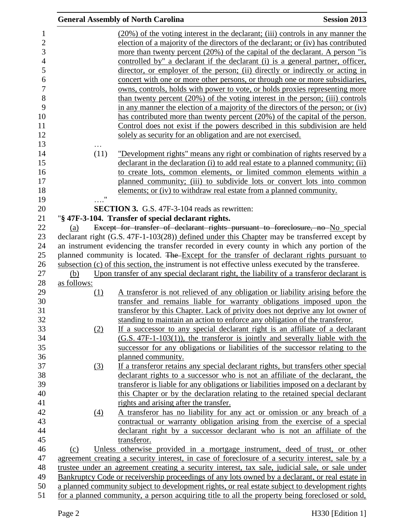|                            | <b>General Assembly of North Carolina</b>                                                                                                                                                                                                                                                                                                                                                                                                                                                                                                                                                                                                                                                                                                                                                                                                                                                                                                                                                      | <b>Session 2013</b> |
|----------------------------|------------------------------------------------------------------------------------------------------------------------------------------------------------------------------------------------------------------------------------------------------------------------------------------------------------------------------------------------------------------------------------------------------------------------------------------------------------------------------------------------------------------------------------------------------------------------------------------------------------------------------------------------------------------------------------------------------------------------------------------------------------------------------------------------------------------------------------------------------------------------------------------------------------------------------------------------------------------------------------------------|---------------------|
|                            | $(20\%)$ of the voting interest in the declarant; (iii) controls in any manner the<br>election of a majority of the directors of the declarant; or (iv) has contributed<br>more than twenty percent (20%) of the capital of the declarant. A person "is<br>controlled by" a declarant if the declarant (i) is a general partner, officer,<br>director, or employer of the person; (ii) directly or indirectly or acting in<br>concert with one or more other persons, or through one or more subsidiaries,<br>owns, controls, holds with power to vote, or holds proxies representing more<br>than twenty percent (20%) of the voting interest in the person; (iii) controls<br>in any manner the election of a majority of the directors of the person; or (iv)<br>has contributed more than twenty percent (20%) of the capital of the person.<br>Control does not exist if the powers described in this subdivision are held<br>solely as security for an obligation and are not exercised. |                     |
| (11)<br>$\pmb{\mathsf{H}}$ | "Development rights" means any right or combination of rights reserved by a<br>declarant in the declaration (i) to add real estate to a planned community; (ii)<br>to create lots, common elements, or limited common elements within a<br>planned community; (iii) to subdivide lots or convert lots into common<br>elements; or (iv) to withdraw real estate from a planned community.                                                                                                                                                                                                                                                                                                                                                                                                                                                                                                                                                                                                       |                     |
|                            | <b>SECTION 3.</b> G.S. 47F-3-104 reads as rewritten:                                                                                                                                                                                                                                                                                                                                                                                                                                                                                                                                                                                                                                                                                                                                                                                                                                                                                                                                           |                     |
|                            | "§ 47F-3-104. Transfer of special declarant rights.                                                                                                                                                                                                                                                                                                                                                                                                                                                                                                                                                                                                                                                                                                                                                                                                                                                                                                                                            |                     |
| (a)                        | Except for transfer of declarant rights pursuant to foreclosure, no No special                                                                                                                                                                                                                                                                                                                                                                                                                                                                                                                                                                                                                                                                                                                                                                                                                                                                                                                 |                     |
|                            | declarant right (G.S. 47F-1-103(28)) defined under this Chapter may be transferred except by                                                                                                                                                                                                                                                                                                                                                                                                                                                                                                                                                                                                                                                                                                                                                                                                                                                                                                   |                     |
|                            | an instrument evidencing the transfer recorded in every county in which any portion of the                                                                                                                                                                                                                                                                                                                                                                                                                                                                                                                                                                                                                                                                                                                                                                                                                                                                                                     |                     |
|                            | planned community is located. The Except for the transfer of declarant rights pursuant to                                                                                                                                                                                                                                                                                                                                                                                                                                                                                                                                                                                                                                                                                                                                                                                                                                                                                                      |                     |
|                            | subsection (c) of this section, the instrument is not effective unless executed by the transferee.                                                                                                                                                                                                                                                                                                                                                                                                                                                                                                                                                                                                                                                                                                                                                                                                                                                                                             |                     |
| (b)                        | Upon transfer of any special declarant right, the liability of a transferor declarant is                                                                                                                                                                                                                                                                                                                                                                                                                                                                                                                                                                                                                                                                                                                                                                                                                                                                                                       |                     |
| as follows:                |                                                                                                                                                                                                                                                                                                                                                                                                                                                                                                                                                                                                                                                                                                                                                                                                                                                                                                                                                                                                |                     |
| <u>(1)</u>                 | A transferor is not relieved of any obligation or liability arising before the<br>transfer and remains liable for warranty obligations imposed upon the<br>transferor by this Chapter. Lack of privity does not deprive any lot owner of<br>standing to maintain an action to enforce any obligation of the transferor.                                                                                                                                                                                                                                                                                                                                                                                                                                                                                                                                                                                                                                                                        |                     |
| (2)                        | If a successor to any special declarant right is an affiliate of a declarant<br>$(G.S. 47F-1-103(1))$ , the transferor is jointly and severally liable with the<br>successor for any obligations or liabilities of the successor relating to the                                                                                                                                                                                                                                                                                                                                                                                                                                                                                                                                                                                                                                                                                                                                               |                     |
|                            | planned community.                                                                                                                                                                                                                                                                                                                                                                                                                                                                                                                                                                                                                                                                                                                                                                                                                                                                                                                                                                             |                     |
| (3)                        | If a transferor retains any special declarant rights, but transfers other special                                                                                                                                                                                                                                                                                                                                                                                                                                                                                                                                                                                                                                                                                                                                                                                                                                                                                                              |                     |
|                            | declarant rights to a successor who is not an affiliate of the declarant, the                                                                                                                                                                                                                                                                                                                                                                                                                                                                                                                                                                                                                                                                                                                                                                                                                                                                                                                  |                     |
|                            | transferor is liable for any obligations or liabilities imposed on a declarant by<br>this Chapter or by the declaration relating to the retained special declarant                                                                                                                                                                                                                                                                                                                                                                                                                                                                                                                                                                                                                                                                                                                                                                                                                             |                     |
|                            | rights and arising after the transfer.                                                                                                                                                                                                                                                                                                                                                                                                                                                                                                                                                                                                                                                                                                                                                                                                                                                                                                                                                         |                     |
| (4)                        | A transferor has no liability for any act or omission or any breach of a<br>contractual or warranty obligation arising from the exercise of a special<br>declarant right by a successor declarant who is not an affiliate of the                                                                                                                                                                                                                                                                                                                                                                                                                                                                                                                                                                                                                                                                                                                                                               |                     |
|                            | transferor.                                                                                                                                                                                                                                                                                                                                                                                                                                                                                                                                                                                                                                                                                                                                                                                                                                                                                                                                                                                    |                     |
| (c)                        | Unless otherwise provided in a mortgage instrument, deed of trust, or other                                                                                                                                                                                                                                                                                                                                                                                                                                                                                                                                                                                                                                                                                                                                                                                                                                                                                                                    |                     |
|                            | agreement creating a security interest, in case of foreclosure of a security interest, sale by a                                                                                                                                                                                                                                                                                                                                                                                                                                                                                                                                                                                                                                                                                                                                                                                                                                                                                               |                     |
|                            | trustee under an agreement creating a security interest, tax sale, judicial sale, or sale under                                                                                                                                                                                                                                                                                                                                                                                                                                                                                                                                                                                                                                                                                                                                                                                                                                                                                                |                     |
|                            | Bankruptcy Code or receivership proceedings of any lots owned by a declarant, or real estate in                                                                                                                                                                                                                                                                                                                                                                                                                                                                                                                                                                                                                                                                                                                                                                                                                                                                                                |                     |
|                            | a planned community subject to development rights, or real estate subject to development rights                                                                                                                                                                                                                                                                                                                                                                                                                                                                                                                                                                                                                                                                                                                                                                                                                                                                                                |                     |
|                            | for a planned community, a person acquiring title to all the property being foreclosed or sold,                                                                                                                                                                                                                                                                                                                                                                                                                                                                                                                                                                                                                                                                                                                                                                                                                                                                                                |                     |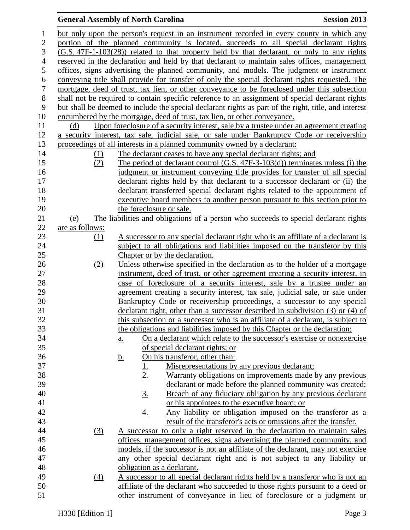# **General Assembly of North Carolina Session 2013**

| $\mathbf{1}$     |                 |                  | but only upon the person's request in an instrument recorded in every county in which any             |
|------------------|-----------------|------------------|-------------------------------------------------------------------------------------------------------|
| $\overline{c}$   |                 |                  | portion of the planned community is located, succeeds to all special declarant rights                 |
| 3                |                 |                  | (G.S. 47F-1-103(28)) related to that property held by that declarant, or only to any rights           |
| $\overline{4}$   |                 |                  | reserved in the declaration and held by that declarant to maintain sales offices, management          |
| 5                |                 |                  | offices, signs advertising the planned community, and models. The judgment or instrument              |
| $\boldsymbol{6}$ |                 |                  | conveying title shall provide for transfer of only the special declarant rights requested. The        |
| $\tau$           |                 |                  | mortgage, deed of trust, tax lien, or other conveyance to be foreclosed under this subsection         |
| $8\,$            |                 |                  | shall not be required to contain specific reference to an assignment of special declarant rights      |
| 9                |                 |                  | but shall be deemed to include the special declarant rights as part of the right, title, and interest |
| 10               |                 |                  | encumbered by the mortgage, deed of trust, tax lien, or other conveyance.                             |
| 11               | (d)             |                  | Upon foreclosure of a security interest, sale by a trustee under an agreement creating                |
| 12               |                 |                  | a security interest, tax sale, judicial sale, or sale under Bankruptcy Code or receivership           |
| 13               |                 |                  | proceedings of all interests in a planned community owned by a declarant:                             |
| 14               |                 | (1)              | The declarant ceases to have any special declarant rights; and                                        |
| 15               |                 | (2)              | The period of declarant control $(G.S. 47F-3-103(d))$ terminates unless (i) the                       |
| 16               |                 |                  | judgment or instrument conveying title provides for transfer of all special                           |
| 17               |                 |                  | declarant rights held by that declarant to a successor declarant or (ii) the                          |
| 18               |                 |                  | declarant transferred special declarant rights related to the appointment of                          |
| 19               |                 |                  | executive board members to another person pursuant to this section prior to                           |
| 20               |                 |                  | the foreclosure or sale.                                                                              |
| 21               | (e)             |                  | The liabilities and obligations of a person who succeeds to special declarant rights                  |
| 22               | are as follows: |                  |                                                                                                       |
| 23               |                 | (1)              | A successor to any special declarant right who is an affiliate of a declarant is                      |
| 24               |                 |                  | subject to all obligations and liabilities imposed on the transferor by this                          |
| 25               |                 |                  | Chapter or by the declaration.                                                                        |
| 26               |                 | (2)              | Unless otherwise specified in the declaration as to the holder of a mortgage                          |
| 27               |                 |                  | instrument, deed of trust, or other agreement creating a security interest, in                        |
| 28               |                 |                  | case of foreclosure of a security interest, sale by a trustee under an                                |
| 29               |                 |                  | agreement creating a security interest, tax sale, judicial sale, or sale under                        |
| 30               |                 |                  | Bankruptcy Code or receivership proceedings, a successor to any special                               |
| 31               |                 |                  | declarant right, other than a successor described in subdivision (3) or (4) of                        |
| 32               |                 |                  | this subsection or a successor who is an affiliate of a declarant, is subject to                      |
| 33               |                 |                  | the obligations and liabilities imposed by this Chapter or the declaration:                           |
| 34               |                 |                  | On a declarant which relate to the successor's exercise or nonexercise<br><u>a.</u>                   |
| 35               |                 |                  | of special declarant rights; or                                                                       |
| 36               |                 |                  | On his transferor, other than:<br><u>b.</u>                                                           |
| 37               |                 |                  | Misrepresentations by any previous declarant;<br><u>1.</u>                                            |
| 38               |                 |                  | 2.<br>Warranty obligations on improvements made by any previous                                       |
| 39               |                 |                  | declarant or made before the planned community was created;                                           |
| 40               |                 |                  | Breach of any fiduciary obligation by any previous declarant<br><u>3.</u>                             |
| 41               |                 |                  | or his appointees to the executive board; or                                                          |
| 42               |                 |                  | <u>Any liability or obligation imposed on the transferor as a</u><br><u>4.</u>                        |
| 43               |                 |                  | result of the transferor's acts or omissions after the transfer.                                      |
| 44               |                 | $\left(3\right)$ | A successor to only a right reserved in the declaration to maintain sales                             |
| 45               |                 |                  | offices, management offices, signs advertising the planned community, and                             |
| 46               |                 |                  | models, if the successor is not an affiliate of the declarant, may not exercise                       |
| 47               |                 |                  | any other special declarant right and is not subject to any liability or                              |
| 48               |                 |                  | obligation as a declarant.                                                                            |
| 49               |                 | $\left(4\right)$ | A successor to all special declarant rights held by a transferor who is not an                        |
| 50               |                 |                  | affiliate of the declarant who succeeded to those rights pursuant to a deed or                        |
| 51               |                 |                  | other instrument of conveyance in lieu of foreclosure or a judgment or                                |